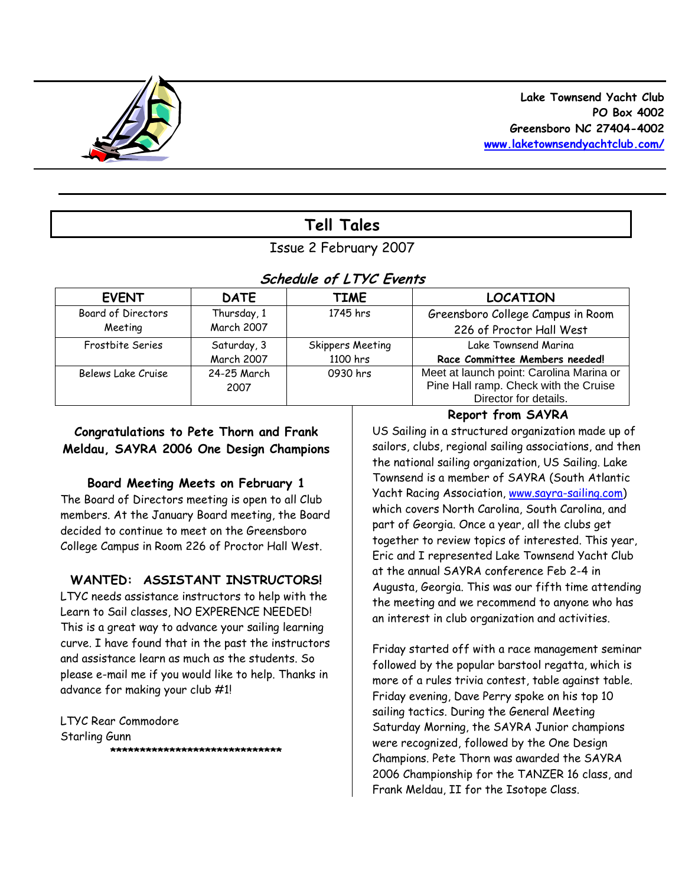

# **Tell Tales**

## Issue 2 February 2007

## **Schedule of LTYC Events**

| <b>EVENT</b>       | <b>DATE</b>       | <b>TIME</b>      | <b>LOCATION</b>                                                                   |
|--------------------|-------------------|------------------|-----------------------------------------------------------------------------------|
| Board of Directors | Thursday, 1       | 1745 hrs         | Greensboro College Campus in Room                                                 |
| Meeting            | <b>March 2007</b> |                  | 226 of Proctor Hall West                                                          |
| Frostbite Series   | Saturday, 3       | Skippers Meeting | Lake Townsend Marina                                                              |
|                    | March 2007        | 1100 hrs         | Race Committee Members needed!                                                    |
| Belews Lake Cruise | 24-25 March       | 0930 hrs         | Meet at launch point: Carolina Marina or<br>Pine Hall ramp. Check with the Cruise |
|                    | 2007              |                  | Director for details.                                                             |

### **Congratulations to Pete Thorn and Frank Meldau, SAYRA 2006 One Design Champions**

### **Board Meeting Meets on February 1**

The Board of Directors meeting is open to all Club members. At the January Board meeting, the Board decided to continue to meet on the Greensboro College Campus in Room 226 of Proctor Hall West.

### **WANTED: ASSISTANT INSTRUCTORS!**

LTYC needs assistance instructors to help with the Learn to Sail classes, NO EXPERENCE NEEDED! This is a great way to advance your sailing learning curve. I have found that in the past the instructors and assistance learn as much as the students. So please e-mail me if you would like to help. Thanks in advance for making your club #1!

LTYC Rear Commodore Starling Gunn **\*\*\*\*\*\*\*\*\*\*\*\*\*\*\*\*\*\*\*\*\*\*\*\*\*\*\*\*\*** 

## **Report from SAYRA**

US Sailing in a structured organization made up of sailors, clubs, regional sailing associations, and then the national sailing organization, US Sailing. Lake Townsend is a member of SAYRA (South Atlantic Yacht Racing Association, [www.sayra-sailing.com\)](http://www.sayra-sailing.com/) which covers North Carolina, South Carolina, and part of Georgia. Once a year, all the clubs get together to review topics of interested. This year, Eric and I represented Lake Townsend Yacht Club at the annual SAYRA conference Feb 2-4 in Augusta, Georgia. This was our fifth time attending the meeting and we recommend to anyone who has an interest in club organization and activities.

Friday started off with a race management seminar followed by the popular barstool regatta, which is more of a rules trivia contest, table against table. Friday evening, Dave Perry spoke on his top 10 sailing tactics. During the General Meeting Saturday Morning, the SAYRA Junior champions were recognized, followed by the One Design Champions. Pete Thorn was awarded the SAYRA 2006 Championship for the TANZER 16 class, and Frank Meldau, II for the Isotope Class.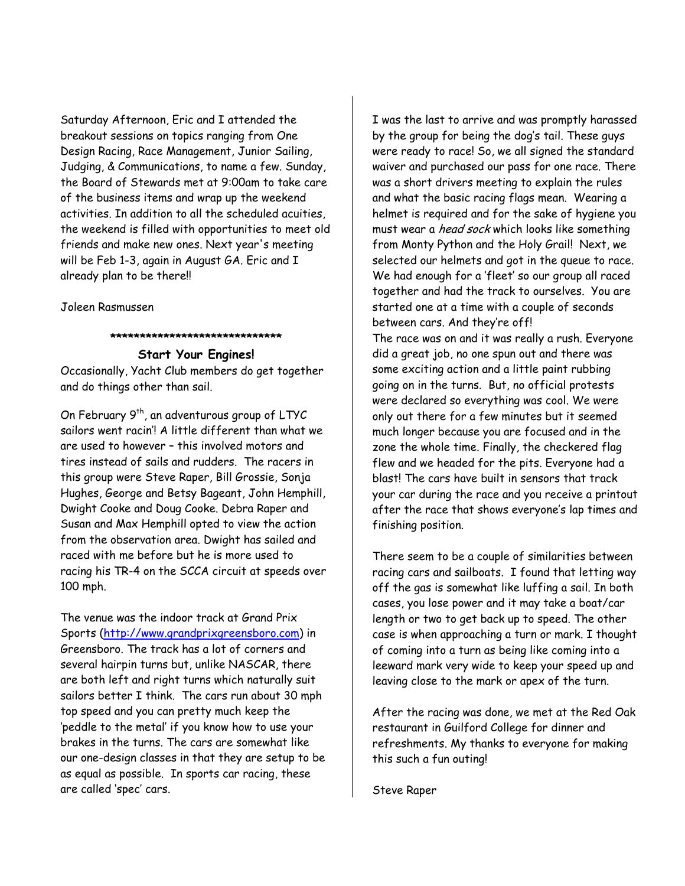Saturday Afternoon, Eric and I attended the breakout sessions on topics ranging from One Design Racing, Race Management, Junior Sailing, Judging, & Communications, to name a few. Sunday, the Board of Stewards met at 9:00am to take care of the business items and wrap up the weekend activities. In addition to all the scheduled acuities, the weekend is filled with opportunities to meet old friends and make new ones. Next year's meeting will be Feb 1-3, again in August GA. Eric and I already plan to be there!!

Joleen Rasmussen

#### **\*\*\*\*\*\*\*\*\*\*\*\*\*\*\*\*\*\*\*\*\*\*\*\*\*\*\*\*\***

**Start Your Engines!** Occasionally, Yacht Club members do get together and do things other than sail.

On February 9<sup>th</sup>, an adventurous group of LTYC sailors went racin'! A little different than what we are used to however – this involved motors and tires instead of sails and rudders. The racers in this group were Steve Raper, Bill Grossie, Sonja Hughes, George and Betsy Bageant, John Hemphill, Dwight Cooke and Doug Cooke. Debra Raper and Susan and Max Hemphill opted to view the action from the observation area. Dwight has sailed and raced with me before but he is more used to racing his TR-4 on the SCCA circuit at speeds over 100 mph.

The venue was the indoor track at Grand Prix Sports ([http://www.grandprixgreensboro.com\)](http://www.grandprixgreensboro.com/) in Greensboro. The track has a lot of corners and several hairpin turns but, unlike NASCAR, there are both left and right turns which naturally suit sailors better I think. The cars run about 30 mph top speed and you can pretty much keep the 'peddle to the metal' if you know how to use your brakes in the turns. The cars are somewhat like our one-design classes in that they are setup to be as equal as possible. In sports car racing, these are called 'spec' cars.

I was the last to arrive and was promptly harassed by the group for being the dog's tail. These guys were ready to race! So, we all signed the standard waiver and purchased our pass for one race. There was a short drivers meeting to explain the rules and what the basic racing flags mean. Wearing a helmet is required and for the sake of hygiene you must wear a *head sock* which looks like something from Monty Python and the Holy Grail! Next, we selected our helmets and got in the queue to race. We had enough for a 'fleet' so our group all raced together and had the track to ourselves. You are started one at a time with a couple of seconds between cars. And they're off!

The race was on and it was really a rush. Everyone did a great job, no one spun out and there was some exciting action and a little paint rubbing going on in the turns. But, no official protests were declared so everything was cool. We were only out there for a few minutes but it seemed much longer because you are focused and in the zone the whole time. Finally, the checkered flag flew and we headed for the pits. Everyone had a blast! The cars have built in sensors that track your car during the race and you receive a printout after the race that shows everyone's lap times and finishing position.

There seem to be a couple of similarities between racing cars and sailboats. I found that letting way off the gas is somewhat like luffing a sail. In both cases, you lose power and it may take a boat/car length or two to get back up to speed. The other case is when approaching a turn or mark. I thought of coming into a turn as being like coming into a leeward mark very wide to keep your speed up and leaving close to the mark or apex of the turn.

After the racing was done, we met at the Red Oak restaurant in Guilford College for dinner and refreshments. My thanks to everyone for making this such a fun outing!

Steve Raper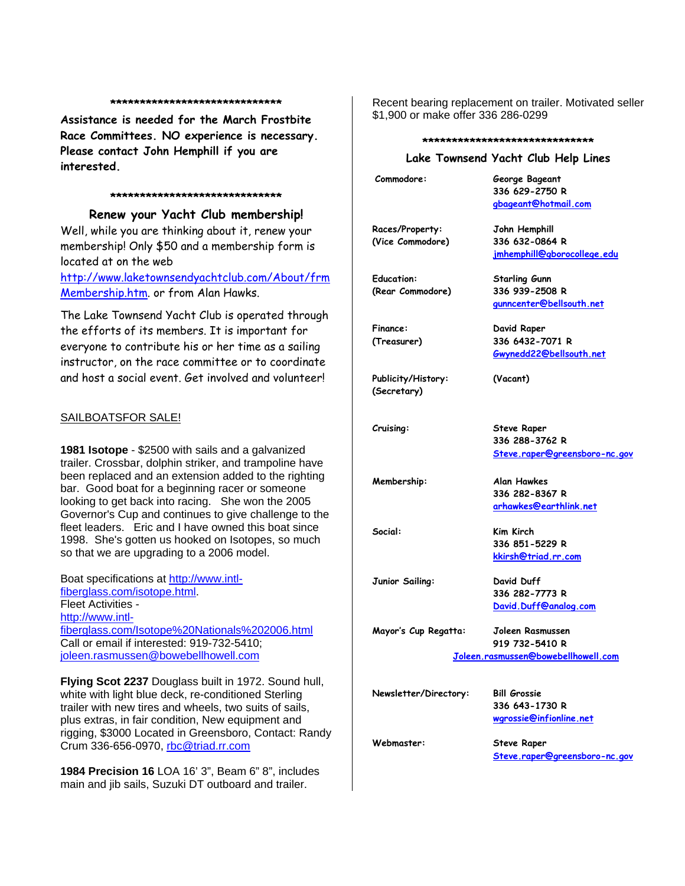#### **\*\*\*\*\*\*\*\*\*\*\*\*\*\*\*\*\*\*\*\*\*\*\*\*\*\*\*\*\***

**Assistance is needed for the March Frostbite Race Committees. NO experience is necessary. Please contact John Hemphill if you are interested.** 

#### **\*\*\*\*\*\*\*\*\*\*\*\*\*\*\*\*\*\*\*\*\*\*\*\*\*\*\*\*\***

**Renew your Yacht Club membership!**  Well, while you are thinking about it, renew your membership! Only \$50 and a membership form is located at on the web

[http://www.laketownsendyachtclub.com/About/frm](http://www.laketownsendyachtclub.com/About/frmMembership.htm) [Membership.htm.](http://www.laketownsendyachtclub.com/About/frmMembership.htm) or from Alan Hawks.

The Lake Townsend Yacht Club is operated through the efforts of its members. It is important for everyone to contribute his or her time as a sailing instructor, on the race committee or to coordinate and host a social event. Get involved and volunteer!

#### SAILBOATSFOR SALE!

**1981 Isotope** - \$2500 with sails and a galvanized trailer. Crossbar, dolphin striker, and trampoline have been replaced and an extension added to the righting bar. Good boat for a beginning racer or someone looking to get back into racing. She won the 2005 Governor's Cup and continues to give challenge to the fleet leaders. Eric and I have owned this boat since 1998. She's gotten us hooked on Isotopes, so much so that we are upgrading to a 2006 model.

Boat specifications at [http://www.intl](http://www.intl-fiberglass.com/isotope.html)[fiberglass.com/isotope.html](http://www.intl-fiberglass.com/isotope.html). Fleet Activities [http://www.intl](http://www.intl-fiberglass.com/Isotope%20Nationals%202006.html)[fiberglass.com/Isotope%20Nationals%202006.html](http://www.intl-fiberglass.com/Isotope%20Nationals%202006.html) Call or email if interested: 919-732-5410; [joleen.rasmussen@bowebellhowell.com](mailto:joleen.rasmussen@bowebellhowell.com)

**Flying Scot 2237** Douglass built in 1972. Sound hull, white with light blue deck, re-conditioned Sterling trailer with new tires and wheels, two suits of sails, plus extras, in fair condition, New equipment and rigging, \$3000 Located in Greensboro, Contact: Randy Crum 336-656-0970, [rbc@triad.rr.com](mailto:rbc@triad.rr.com) 

**1984 Precision 16** LOA 16' 3", Beam 6" 8", includes main and jib sails, Suzuki DT outboard and trailer.

Recent bearing replacement on trailer. Motivated seller \$1,900 or make offer 336 286-0299

#### **\*\*\*\*\*\*\*\*\*\*\*\*\*\*\*\*\*\*\*\*\*\*\*\*\*\*\*\*\***

#### **Lake Townsend Yacht Club Help Lines**

| Commodore:                          | George Bageant<br>336 629-2750 R<br>gbageant@hotmail.com                  |  |  |
|-------------------------------------|---------------------------------------------------------------------------|--|--|
| Races/Property:<br>(Vice Commodore) | John Hemphill<br>336 632-0864 R<br>jmhemphill@gborocollege.edu            |  |  |
| Education:<br>(Rear Commodore)      | <b>Starling Gunn</b><br>336 939-2508 R<br>gunncenter@bellsouth.net        |  |  |
| Finance:<br>(Treasurer)             | David Raper<br>336 6432-7071 R<br>Gwynedd22@bellsouth.net                 |  |  |
| Publicity/History:<br>(Secretary)   | (Vacant)                                                                  |  |  |
| Cruising:                           | <b>Steve Raper</b><br>336 288-3762 R<br>Steve.raper@greensboro-nc.gov     |  |  |
| Membership:                         | <b>Alan Hawkes</b><br>336 282-8367 R<br>arhawkes@earthlink.net            |  |  |
| Social:                             | Kim Kirch<br>336 851-5229 R<br>kkirsh@triad.rr.com                        |  |  |
| Junior Sailing:                     | David Duff<br>336 282-7773 R<br>David.Duff@analog.com                     |  |  |
| Mayor's Cup Regatta:                | Joleen Rasmussen<br>919 732-5410 R<br>Joleen.rasmussen@bowebellhowell.com |  |  |
|                                     |                                                                           |  |  |
| Newsletter/Directory:               | <b>Bill Grossie</b><br>336 643-1730 R<br>wgrossie@infionline.net          |  |  |
| Webmaster:                          | <b>Steve Raper</b><br>Steve.raper@greensboro-nc.gov                       |  |  |